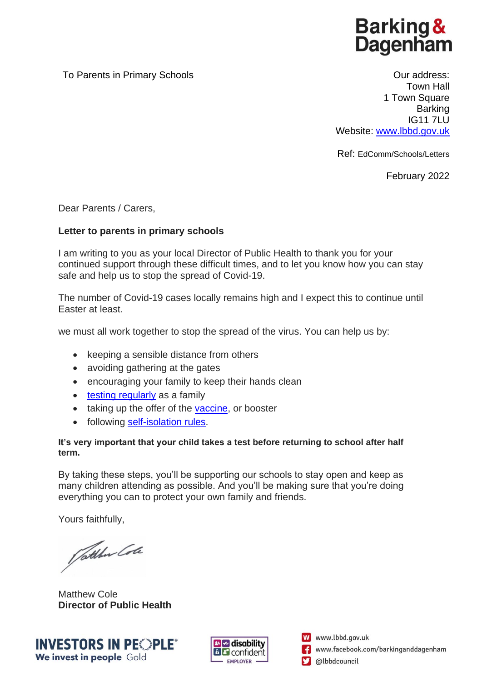**Barking & Dagenham** 

To Parents in Primary Schools **To Parents in Primary Schools Current Courned Account Current Current Current Current Current Current Current Current Current Current Current Current Current Current Current Current Current** 

Town Hall 1 Town Square **Barking** IG11 7LU Website: [www.lbbd.gov.uk](http://www.lbbd.gov.uk/)

Ref: EdComm/Schools/Letters

February 2022

Dear Parents / Carers,

## **Letter to parents in primary schools**

I am writing to you as your local Director of Public Health to thank you for your continued support through these difficult times, and to let you know how you can stay safe and help us to stop the spread of Covid-19.

The number of Covid-19 cases locally remains high and I expect this to continue until Easter at least.

we must all work together to stop the spread of the virus. You can help us by:

- keeping a sensible distance from others
- avoiding gathering at the gates
- encouraging your family to keep their hands clean
- [testing regularly](https://www.lbbd.gov.uk/get-a-coronavirus-test#3fce5035) as a family
- taking up the offer of the [vaccine,](https://www.lbbd.gov.uk/covid-19-vaccination) or booster
- following [self-isolation rules.](https://www.gov.uk/government/publications/covid-19-stay-at-home-guidance/stay-at-home-guidance-for-households-with-possible-coronavirus-covid-19-infection)

## **It's very important that your child takes a test before returning to school after half term.**

By taking these steps, you'll be supporting our schools to stay open and keep as many children attending as possible. And you'll be making sure that you're doing everything you can to protect your own family and friends.

Yours faithfully,

Pathew Cole

Matthew Cole **Director of Public Health**





W www.lbbd.gov.uk www.facebook.com/barkinganddagenham @lbbdcouncil М